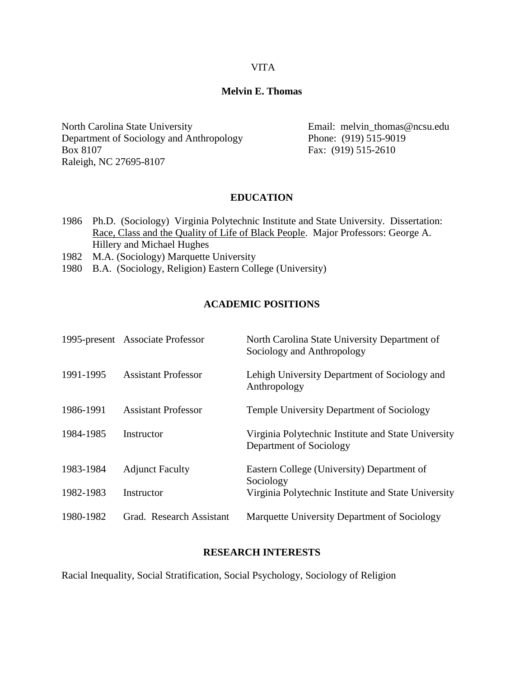### VITA

### **Melvin E. Thomas**

North Carolina State University **Email: melvin\_thomas@ncsu.edu** Department of Sociology and Anthropology Phone: (919) 515-9019 Box 8107 Fax: (919) 515-2610 Raleigh, NC 27695-8107

### **EDUCATION**

- 1986 Ph.D. (Sociology) Virginia Polytechnic Institute and State University. Dissertation: Race, Class and the Quality of Life of Black People. Major Professors: George A. Hillery and Michael Hughes
- 1982 M.A. (Sociology) Marquette University
- 1980 B.A. (Sociology, Religion) Eastern College (University)

# **ACADEMIC POSITIONS**

|           | 1995-present Associate Professor | North Carolina State University Department of<br>Sociology and Anthropology    |
|-----------|----------------------------------|--------------------------------------------------------------------------------|
| 1991-1995 | <b>Assistant Professor</b>       | Lehigh University Department of Sociology and<br>Anthropology                  |
| 1986-1991 | <b>Assistant Professor</b>       | <b>Temple University Department of Sociology</b>                               |
| 1984-1985 | Instructor                       | Virginia Polytechnic Institute and State University<br>Department of Sociology |
| 1983-1984 | <b>Adjunct Faculty</b>           | Eastern College (University) Department of<br>Sociology                        |
| 1982-1983 | Instructor                       | Virginia Polytechnic Institute and State University                            |
| 1980-1982 | Grad. Research Assistant         | Marquette University Department of Sociology                                   |

### **RESEARCH INTERESTS**

Racial Inequality, Social Stratification, Social Psychology, Sociology of Religion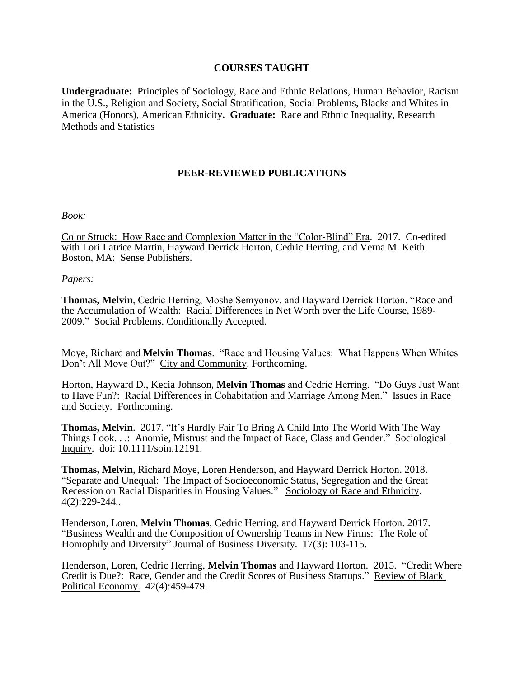### **COURSES TAUGHT**

**Undergraduate:** Principles of Sociology, Race and Ethnic Relations, Human Behavior, Racism in the U.S., Religion and Society, Social Stratification, Social Problems, Blacks and Whites in America (Honors), American Ethnicity**. Graduate:** Race and Ethnic Inequality, Research Methods and Statistics

# **PEER-REVIEWED PUBLICATIONS**

#### *Book:*

Color Struck: How Race and Complexion Matter in the "Color-Blind" Era. 2017. Co-edited with Lori Latrice Martin, Hayward Derrick Horton, Cedric Herring, and Verna M. Keith. Boston, MA: Sense Publishers.

#### *Papers:*

**Thomas, Melvin**, Cedric Herring, Moshe Semyonov, and Hayward Derrick Horton. "Race and the Accumulation of Wealth: Racial Differences in Net Worth over the Life Course, 1989- 2009." Social Problems. Conditionally Accepted.

Moye, Richard and **Melvin Thomas**. "Race and Housing Values: What Happens When Whites Don't All Move Out?" City and Community. Forthcoming.

Horton, Hayward D., Kecia Johnson, **Melvin Thomas** and Cedric Herring. "Do Guys Just Want to Have Fun?: Racial Differences in Cohabitation and Marriage Among Men." Issues in Race and Society. Forthcoming.

**Thomas, Melvin**. 2017. "It's Hardly Fair To Bring A Child Into The World With The Way Things Look. . .: Anomie, Mistrust and the Impact of Race, Class and Gender." Sociological Inquiry. doi: 10.1111/soin.12191.

**Thomas, Melvin**, Richard Moye, Loren Henderson, and Hayward Derrick Horton. 2018. "Separate and Unequal: The Impact of Socioeconomic Status, Segregation and the Great Recession on Racial Disparities in Housing Values." Sociology of Race and Ethnicity. 4(2):229-244..

Henderson, Loren, **Melvin Thomas**, Cedric Herring, and Hayward Derrick Horton. 2017. "Business Wealth and the Composition of Ownership Teams in New Firms: The Role of Homophily and Diversity" Journal of Business Diversity. 17(3): 103-115.

Henderson, Loren, Cedric Herring, **Melvin Thomas** and Hayward Horton. 2015. "Credit Where Credit is Due?: Race, Gender and the Credit Scores of Business Startups." Review of Black Political Economy. 42(4):459-479.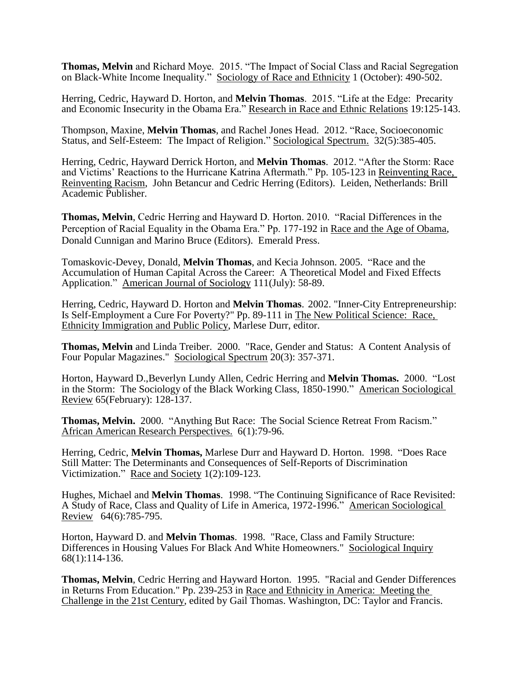**Thomas, Melvin** and Richard Moye. 2015. "The Impact of Social Class and Racial Segregation on Black-White Income Inequality." Sociology of Race and Ethnicity 1 (October): 490-502.

Herring, Cedric, Hayward D. Horton, and **Melvin Thomas**. 2015. "Life at the Edge: Precarity and Economic Insecurity in the Obama Era." Research in Race and Ethnic Relations 19:125-143.

Thompson, Maxine, **Melvin Thomas**, and Rachel Jones Head. 2012. "Race, Socioeconomic Status, and Self-Esteem: The Impact of Religion." Sociological Spectrum. 32(5):385-405.

Herring, Cedric, Hayward Derrick Horton, and **Melvin Thomas**. 2012. "After the Storm: Race and Victims' Reactions to the Hurricane Katrina Aftermath." Pp. 105-123 in Reinventing Race, Reinventing Racism, John Betancur and Cedric Herring (Editors). Leiden, Netherlands: Brill Academic Publisher.

**Thomas, Melvin**, Cedric Herring and Hayward D. Horton. 2010. "Racial Differences in the Perception of Racial Equality in the Obama Era." Pp. 177-192 in Race and the Age of Obama, Donald Cunnigan and Marino Bruce (Editors). Emerald Press.

Tomaskovic-Devey, Donald, **Melvin Thomas**, and Kecia Johnson. 2005. "Race and the Accumulation of Human Capital Across the Career: A Theoretical Model and Fixed Effects Application." American Journal of Sociology 111(July): 58-89.

Herring, Cedric, Hayward D. Horton and **Melvin Thomas**. 2002. "Inner-City Entrepreneurship: Is Self-Employment a Cure For Poverty?" Pp. 89-111 in The New Political Science: Race, Ethnicity Immigration and Public Policy, Marlese Durr, editor.

**Thomas, Melvin** and Linda Treiber. 2000. "Race, Gender and Status: A Content Analysis of Four Popular Magazines." Sociological Spectrum 20(3): 357-371.

Horton, Hayward D.,Beverlyn Lundy Allen, Cedric Herring and **Melvin Thomas.** 2000. "Lost in the Storm: The Sociology of the Black Working Class, 1850-1990." American Sociological Review 65(February): 128-137.

**Thomas, Melvin.** 2000. "Anything But Race: The Social Science Retreat From Racism." African American Research Perspectives. 6(1):79-96.

Herring, Cedric, **Melvin Thomas,** Marlese Durr and Hayward D. Horton. 1998. "Does Race Still Matter: The Determinants and Consequences of Self-Reports of Discrimination Victimization." Race and Society 1(2):109-123.

Hughes, Michael and **Melvin Thomas**. 1998. "The Continuing Significance of Race Revisited: A Study of Race, Class and Quality of Life in America, 1972-1996." American Sociological Review 64(6):785-795.

Horton, Hayward D. and **Melvin Thomas**. 1998. "Race, Class and Family Structure: Differences in Housing Values For Black And White Homeowners." Sociological Inquiry 68(1):114-136.

**Thomas, Melvin**, Cedric Herring and Hayward Horton. 1995. "Racial and Gender Differences in Returns From Education." Pp. 239-253 in Race and Ethnicity in America: Meeting the Challenge in the 21st Century, edited by Gail Thomas. Washington, DC: Taylor and Francis.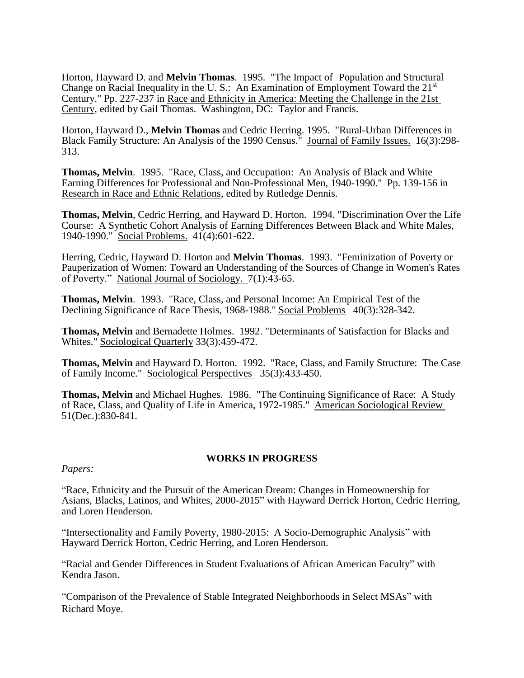Horton, Hayward D. and **Melvin Thomas**. 1995. "The Impact of Population and Structural Change on Racial Inequality in the U.S.: An Examination of Employment Toward the 21<sup>st</sup> Century." Pp. 227-237 in Race and Ethnicity in America: Meeting the Challenge in the 21st Century, edited by Gail Thomas. Washington, DC: Taylor and Francis.

Horton, Hayward D., **Melvin Thomas** and Cedric Herring. 1995. "Rural-Urban Differences in Black Family Structure: An Analysis of the 1990 Census." Journal of Family Issues. 16(3):298-313.

**Thomas, Melvin**. 1995. "Race, Class, and Occupation: An Analysis of Black and White Earning Differences for Professional and Non-Professional Men, 1940-1990." Pp. 139-156 in Research in Race and Ethnic Relations, edited by Rutledge Dennis.

**Thomas, Melvin**, Cedric Herring, and Hayward D. Horton. 1994. "Discrimination Over the Life Course: A Synthetic Cohort Analysis of Earning Differences Between Black and White Males, 1940-1990." Social Problems. 41(4):601-622.

Herring, Cedric, Hayward D. Horton and **Melvin Thomas**. 1993. "Feminization of Poverty or Pauperization of Women: Toward an Understanding of the Sources of Change in Women's Rates of Poverty." National Journal of Sociology. 7(1):43-65.

**Thomas, Melvin**. 1993. "Race, Class, and Personal Income: An Empirical Test of the Declining Significance of Race Thesis, 1968-1988." Social Problems 40(3):328-342.

**Thomas, Melvin** and Bernadette Holmes. 1992. "Determinants of Satisfaction for Blacks and Whites." Sociological Quarterly 33(3):459-472.

**Thomas, Melvin** and Hayward D. Horton. 1992. "Race, Class, and Family Structure: The Case of Family Income." Sociological Perspectives 35(3):433-450.

**Thomas, Melvin** and Michael Hughes. 1986. "The Continuing Significance of Race: A Study of Race, Class, and Quality of Life in America, 1972-1985." American Sociological Review 51(Dec.):830-841.

### **WORKS IN PROGRESS**

#### *Papers:*

"Race, Ethnicity and the Pursuit of the American Dream: Changes in Homeownership for Asians, Blacks, Latinos, and Whites, 2000-2015" with Hayward Derrick Horton, Cedric Herring, and Loren Henderson.

"Intersectionality and Family Poverty, 1980-2015: A Socio-Demographic Analysis" with Hayward Derrick Horton, Cedric Herring, and Loren Henderson.

"Racial and Gender Differences in Student Evaluations of African American Faculty" with Kendra Jason.

"Comparison of the Prevalence of Stable Integrated Neighborhoods in Select MSAs" with Richard Moye.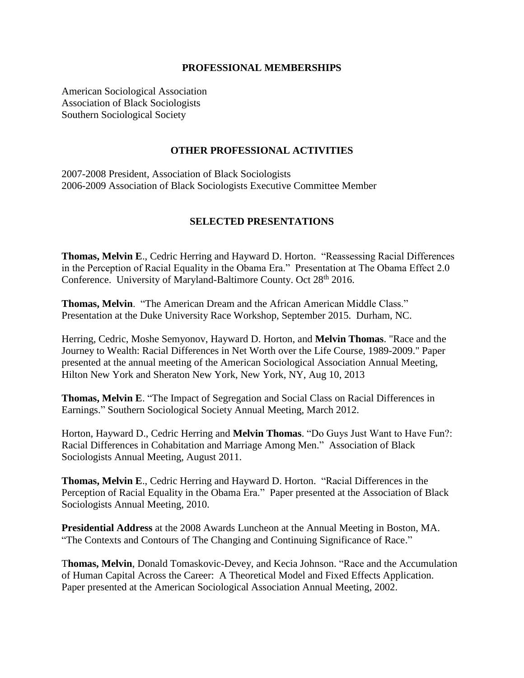### **PROFESSIONAL MEMBERSHIPS**

American Sociological Association Association of Black Sociologists Southern Sociological Society

# **OTHER PROFESSIONAL ACTIVITIES**

2007-2008 President, Association of Black Sociologists 2006-2009 Association of Black Sociologists Executive Committee Member

# **SELECTED PRESENTATIONS**

**Thomas, Melvin E**., Cedric Herring and Hayward D. Horton. "Reassessing Racial Differences in the Perception of Racial Equality in the Obama Era." Presentation at The Obama Effect 2.0 Conference. University of Maryland-Baltimore County. Oct 28<sup>th</sup> 2016.

**Thomas, Melvin**. "The American Dream and the African American Middle Class." Presentation at the Duke University Race Workshop, September 2015. Durham, NC.

Herring, Cedric, Moshe Semyonov, Hayward D. Horton, and **Melvin Thomas**. "Race and the Journey to Wealth: Racial Differences in Net Worth over the Life Course, 1989-2009." Paper presented at the annual meeting of the American Sociological Association Annual Meeting, Hilton New York and Sheraton New York, New York, NY, Aug 10, 2013

**Thomas, Melvin E**. "The Impact of Segregation and Social Class on Racial Differences in Earnings." Southern Sociological Society Annual Meeting, March 2012.

Horton, Hayward D., Cedric Herring and **Melvin Thomas**. "Do Guys Just Want to Have Fun?: Racial Differences in Cohabitation and Marriage Among Men." Association of Black Sociologists Annual Meeting, August 2011.

**Thomas, Melvin E**., Cedric Herring and Hayward D. Horton. "Racial Differences in the Perception of Racial Equality in the Obama Era." Paper presented at the Association of Black Sociologists Annual Meeting, 2010.

**Presidential Address** at the 2008 Awards Luncheon at the Annual Meeting in Boston, MA. "The Contexts and Contours of The Changing and Continuing Significance of Race."

T**homas, Melvin**, Donald Tomaskovic-Devey, and Kecia Johnson. "Race and the Accumulation of Human Capital Across the Career: A Theoretical Model and Fixed Effects Application. Paper presented at the American Sociological Association Annual Meeting, 2002.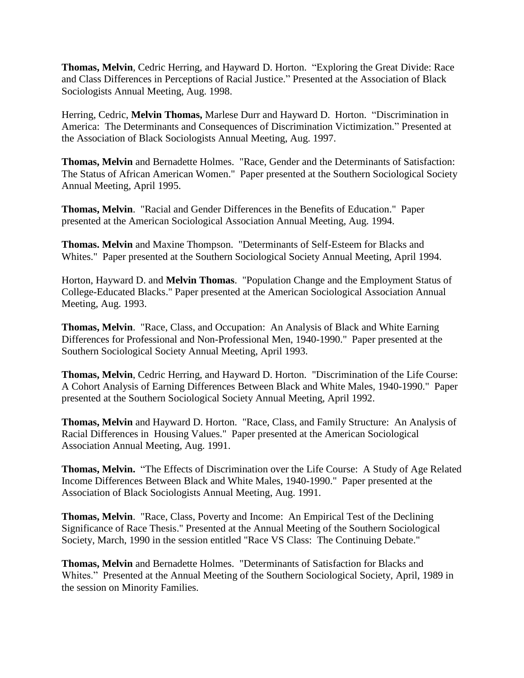**Thomas, Melvin**, Cedric Herring, and Hayward D. Horton. "Exploring the Great Divide: Race and Class Differences in Perceptions of Racial Justice." Presented at the Association of Black Sociologists Annual Meeting, Aug. 1998.

Herring, Cedric, **Melvin Thomas,** Marlese Durr and Hayward D. Horton. "Discrimination in America: The Determinants and Consequences of Discrimination Victimization." Presented at the Association of Black Sociologists Annual Meeting, Aug. 1997.

**Thomas, Melvin** and Bernadette Holmes. "Race, Gender and the Determinants of Satisfaction: The Status of African American Women." Paper presented at the Southern Sociological Society Annual Meeting, April 1995.

**Thomas, Melvin**. "Racial and Gender Differences in the Benefits of Education." Paper presented at the American Sociological Association Annual Meeting, Aug. 1994.

**Thomas. Melvin** and Maxine Thompson. "Determinants of Self-Esteem for Blacks and Whites." Paper presented at the Southern Sociological Society Annual Meeting, April 1994.

Horton, Hayward D. and **Melvin Thomas**. "Population Change and the Employment Status of College-Educated Blacks." Paper presented at the American Sociological Association Annual Meeting, Aug. 1993.

**Thomas, Melvin**. "Race, Class, and Occupation: An Analysis of Black and White Earning Differences for Professional and Non-Professional Men, 1940-1990." Paper presented at the Southern Sociological Society Annual Meeting, April 1993.

**Thomas, Melvin**, Cedric Herring, and Hayward D. Horton. "Discrimination of the Life Course: A Cohort Analysis of Earning Differences Between Black and White Males, 1940-1990." Paper presented at the Southern Sociological Society Annual Meeting, April 1992.

**Thomas, Melvin** and Hayward D. Horton. "Race, Class, and Family Structure: An Analysis of Racial Differences in Housing Values." Paper presented at the American Sociological Association Annual Meeting, Aug. 1991.

**Thomas, Melvin.** "The Effects of Discrimination over the Life Course: A Study of Age Related Income Differences Between Black and White Males, 1940-1990." Paper presented at the Association of Black Sociologists Annual Meeting, Aug. 1991.

**Thomas, Melvin**. "Race, Class, Poverty and Income: An Empirical Test of the Declining Significance of Race Thesis." Presented at the Annual Meeting of the Southern Sociological Society, March, 1990 in the session entitled "Race VS Class: The Continuing Debate."

**Thomas, Melvin** and Bernadette Holmes. "Determinants of Satisfaction for Blacks and Whites." Presented at the Annual Meeting of the Southern Sociological Society, April, 1989 in the session on Minority Families.